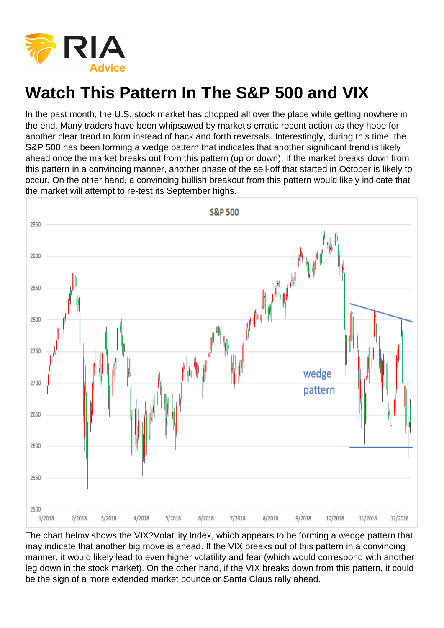

## **Watch This Pattern In The S&P 500 and VIX**

In the past month, the U.S. stock market has chopped all over the place while getting nowhere in the end. Many traders have been whipsawed by market's erratic recent action as they hope for another clear trend to form instead of back and forth reversals. Interestingly, during this time, the S&P 500 has been forming a wedge pattern that indicates that another significant trend is likely ahead once the market breaks out from this pattern (up or down). If the market breaks down from this pattern in a convincing manner, another phase of the sell-off that started in October is likely to occur. On the other hand, a convincing bullish breakout from this pattern would likely indicate that the market will attempt to re-test its September highs.



The chart below shows the VIX?Volatility Index, which appears to be forming a wedge pattern that may indicate that another big move is ahead. If the VIX breaks out of this pattern in a convincing manner, it would likely lead to even higher volatility and fear (which would correspond with another leg down in the stock market). On the other hand, if the VIX breaks down from this pattern, it could be the sign of a more extended market bounce or Santa Claus rally ahead.